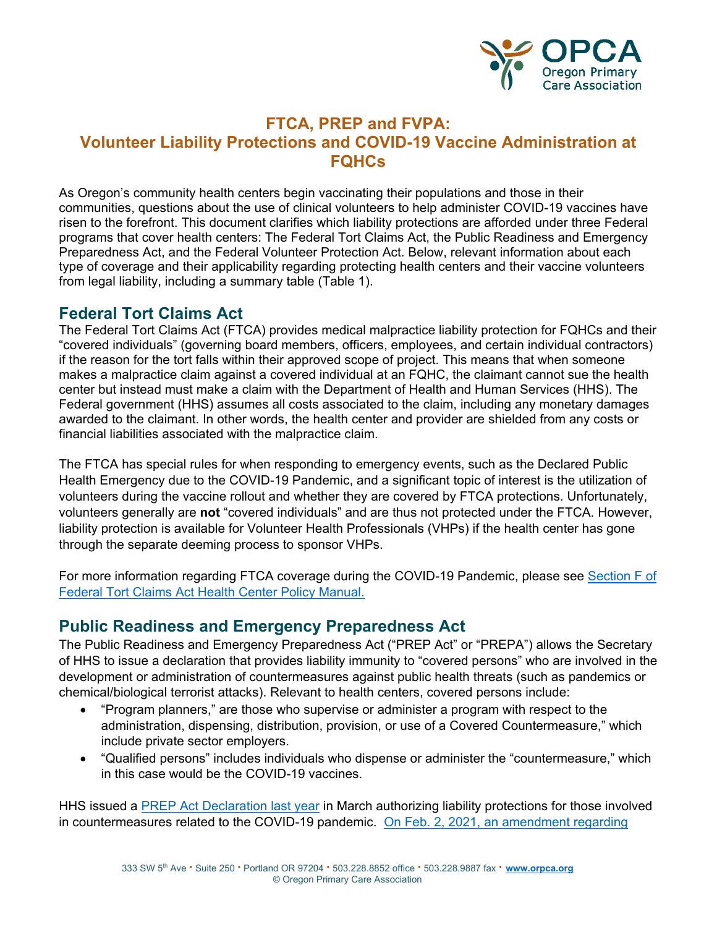

## **FTCA, PREP and FVPA: Volunteer Liability Protections and COVID-19 Vaccine Administration at FQHCs**

As Oregon's community health centers begin vaccinating their populations and those in their communities, questions about the use of clinical volunteers to help administer COVID-19 vaccines have risen to the forefront. This document clarifies which liability protections are afforded under three Federal programs that cover health centers: The Federal Tort Claims Act, the Public Readiness and Emergency Preparedness Act, and the Federal Volunteer Protection Act. Below, relevant information about each type of coverage and their applicability regarding protecting health centers and their vaccine volunteers from legal liability, including a summary table (Table 1).

### **Federal Tort Claims Act**

The Federal Tort Claims Act (FTCA) provides medical malpractice liability protection for FQHCs and their "covered individuals" (governing board members, officers, employees, and certain individual contractors) if the reason for the tort falls within their approved scope of project. This means that when someone makes a malpractice claim against a covered individual at an FQHC, the claimant cannot sue the health center but instead must make a claim with the Department of Health and Human Services (HHS). The Federal government (HHS) assumes all costs associated to the claim, including any monetary damages awarded to the claimant. In other words, the health center and provider are shielded from any costs or financial liabilities associated with the malpractice claim.

The FTCA has special rules for when responding to emergency events, such as the Declared Public Health Emergency due to the COVID-19 Pandemic, and a significant topic of interest is the utilization of volunteers during the vaccine rollout and whether they are covered by FTCA protections. Unfortunately, volunteers generally are **not** "covered individuals" and are thus not protected under the FTCA. However, liability protection is available for Volunteer Health Professionals (VHPs) if the health center has gone through the separate deeming process to sponsor VHPs.

For more information regarding FTCA coverage during the COVID-19 Pandemic, please see [Section](https://bphc.hrsa.gov/sites/default/files/bphc/ftca/pdf/ftcahcpolicymanualpdf.pdf) F of [Federal Tort Claims Act Health Center Policy Manual.](https://bphc.hrsa.gov/sites/default/files/bphc/ftca/pdf/ftcahcpolicymanualpdf.pdf)

### **Public Readiness and Emergency Preparedness Act**

The Public Readiness and Emergency Preparedness Act ("PREP Act" or "PREPA") allows the Secretary of HHS to issue a declaration that provides liability immunity to "covered persons" who are involved in the development or administration of countermeasures against public health threats (such as pandemics or chemical/biological terrorist attacks). Relevant to health centers, covered persons include:

- "Program planners," are those who supervise or administer a program with respect to the administration, dispensing, distribution, provision, or use of a Covered Countermeasure," which include private sector employers.
- "Qualified persons" includes individuals who dispense or administer the "countermeasure," which in this case would be the COVID-19 vaccines.

HHS issued a [PREP Act Declaration last year](https://www.federalregister.gov/documents/2020/03/17/2020-05484/declaration-under-the-public-readiness-and-emergency-preparedness-act-for-medical-countermeasures) in March authorizing liability protections for those involved in countermeasures related to the COVID-19 pandemic. On Feb. 2, 2021, an amendment regarding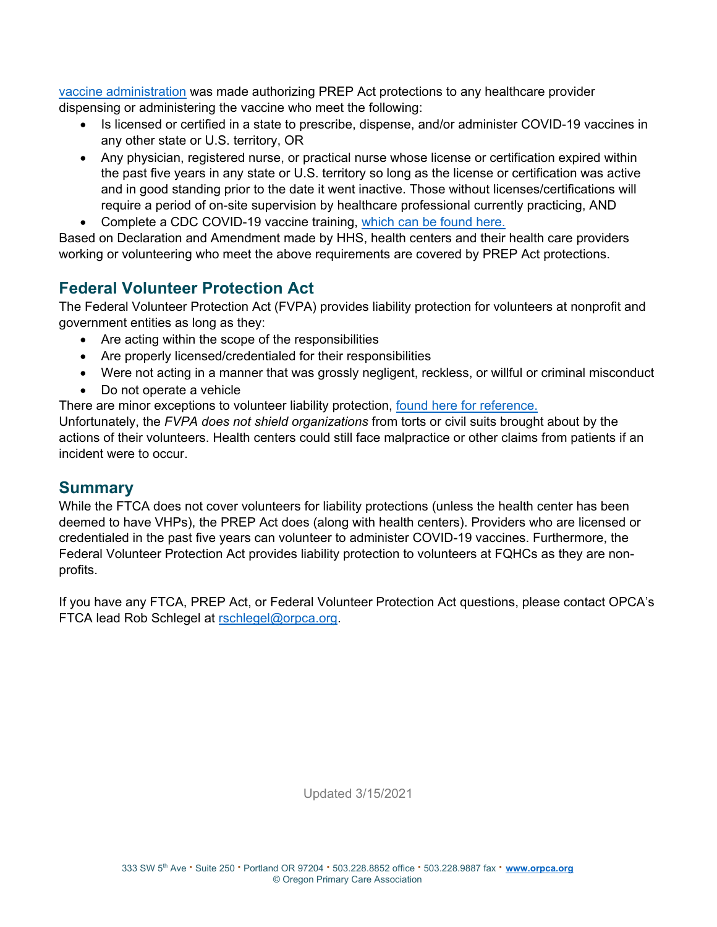[vaccine administration](https://www.hhs.gov/about/news/2021/01/28/hhs-amends-prep-act-declaration-increase-workforce-authorized-administer-covid-19-vaccines.html) was made authorizing PREP Act protections to any healthcare provider dispensing or administering the vaccine who meet the following:

- Is licensed or certified in a state to prescribe, dispense, and/or administer COVID-19 vaccines in any other state or U.S. territory, OR
- Any physician, registered nurse, or practical nurse whose license or certification expired within the past five years in any state or U.S. territory so long as the license or certification was active and in good standing prior to the date it went inactive. Those without licenses/certifications will require a period of on-site supervision by healthcare professional currently practicing, AND
- Complete a CDC COVID-19 vaccine training, [which can be found here.](https://www.cdc.gov/vaccines/covid-19/training.html#past-hcp)

Based on Declaration and Amendment made by HHS, health centers and their health care providers working or volunteering who meet the above requirements are covered by PREP Act protections.

# **Federal Volunteer Protection Act**

The Federal Volunteer Protection Act (FVPA) provides liability protection for volunteers at nonprofit and government entities as long as they:

- Are acting within the scope of the responsibilities
- Are properly licensed/credentialed for their responsibilities
- Were not acting in a manner that was grossly negligent, reckless, or willful or criminal misconduct
- Do not operate a vehicle

There are minor exceptions to volunteer liability protection, found here [for reference.](http://www.fcomi.org/uploads/3/3/7/4/3374831/volunteer_protection_act.pdf) 

Unfortunately, the *FVPA does not shield organizations* from torts or civil suits brought about by the actions of their volunteers. Health centers could still face malpractice or other claims from patients if an incident were to occur.

### **Summary**

While the FTCA does not cover volunteers for liability protections (unless the health center has been deemed to have VHPs), the PREP Act does (along with health centers). Providers who are licensed or credentialed in the past five years can volunteer to administer COVID-19 vaccines. Furthermore, the Federal Volunteer Protection Act provides liability protection to volunteers at FQHCs as they are nonprofits.

If you have any FTCA, PREP Act, or Federal Volunteer Protection Act questions, please contact OPCA's FTCA lead Rob Schlegel at [rschlegel@orpca.org.](mailto:rschlegel@orpca.org)

Updated 3/15/2021